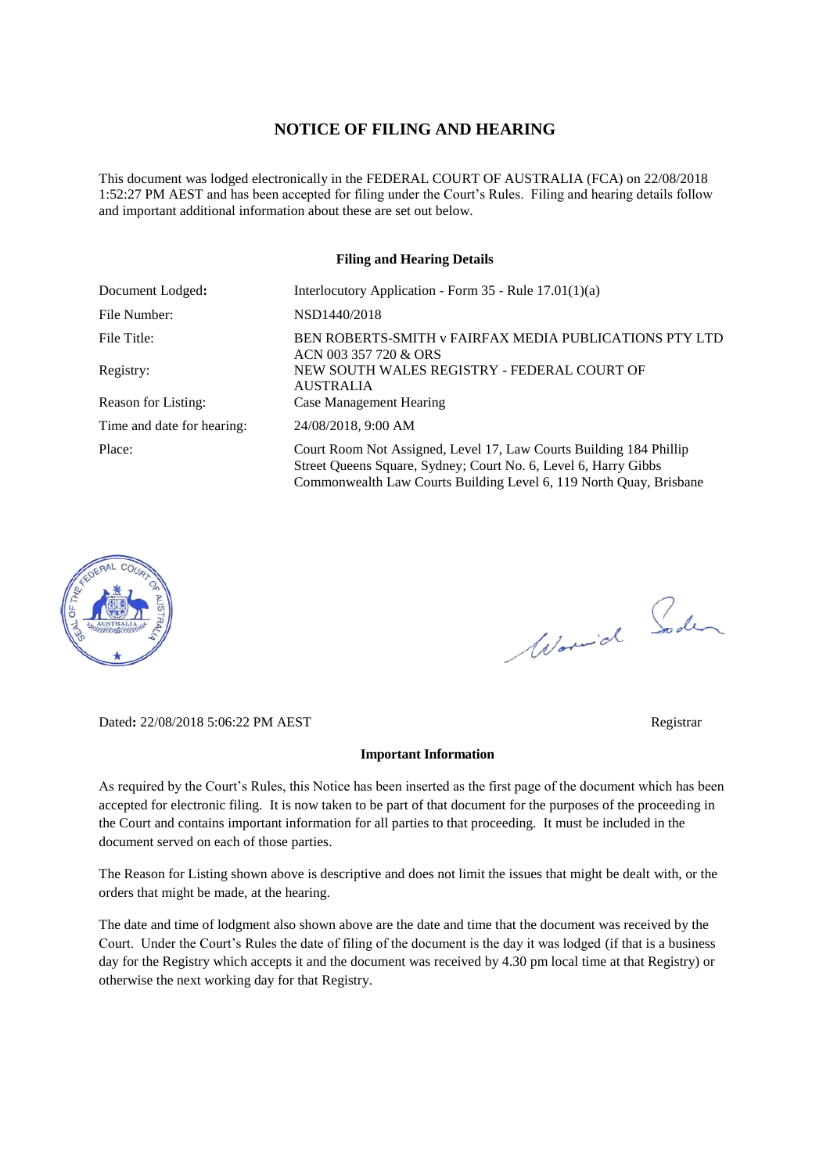### **NOTICE OF FILING AND HEARING**

This document was lodged electronically in the FEDERAL COURT OF AUSTRALIA (FCA) on 22/08/2018 1:52:27 PM AEST and has been accepted for filing under the Court's Rules. Filing and hearing details follow and important additional information about these are set out below.

#### **Filing and Hearing Details**

| Document Lodged:           | Interlocutory Application - Form $35$ - Rule $17.01(1)(a)$                                                                                                                                                  |  |  |
|----------------------------|-------------------------------------------------------------------------------------------------------------------------------------------------------------------------------------------------------------|--|--|
| File Number:               | NSD1440/2018                                                                                                                                                                                                |  |  |
| File Title:                | BEN ROBERTS-SMITH v FAIRFAX MEDIA PUBLICATIONS PTY LTD<br>ACN 003 357 720 & ORS                                                                                                                             |  |  |
| Registry:                  | NEW SOUTH WALES REGISTRY - FEDERAL COURT OF<br><b>AUSTRALIA</b>                                                                                                                                             |  |  |
| Reason for Listing:        | <b>Case Management Hearing</b>                                                                                                                                                                              |  |  |
| Time and date for hearing: | 24/08/2018, 9:00 AM                                                                                                                                                                                         |  |  |
| Place:                     | Court Room Not Assigned, Level 17, Law Courts Building 184 Phillip<br>Street Queens Square, Sydney; Court No. 6, Level 6, Harry Gibbs<br>Commonwealth Law Courts Building Level 6, 119 North Quay, Brisbane |  |  |



Worwich Soden

Dated**:** 22/08/2018 5:06:22 PM AEST Registrar

### **Important Information**

As required by the Court's Rules, this Notice has been inserted as the first page of the document which has been accepted for electronic filing. It is now taken to be part of that document for the purposes of the proceeding in the Court and contains important information for all parties to that proceeding. It must be included in the document served on each of those parties.

The Reason for Listing shown above is descriptive and does not limit the issues that might be dealt with, or the orders that might be made, at the hearing.

The date and time of lodgment also shown above are the date and time that the document was received by the Court. Under the Court's Rules the date of filing of the document is the day it was lodged (if that is a business day for the Registry which accepts it and the document was received by 4.30 pm local time at that Registry) or otherwise the next working day for that Registry.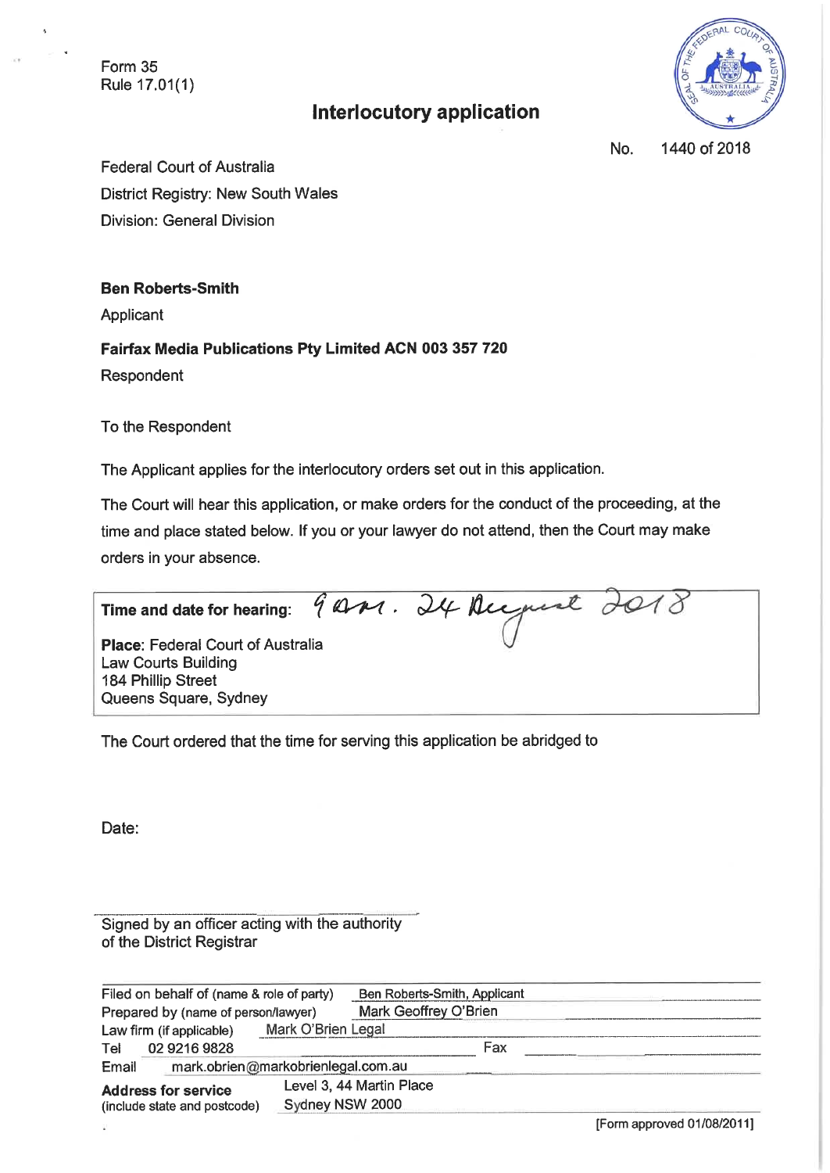Form 35 Rule 17.01(1)

# **Interlocutory application**



1440 of 2018 No.

**Federal Court of Australia** District Registry: New South Wales **Division: General Division** 

**Ben Roberts-Smith** 

Applicant

Fairfax Media Publications Pty Limited ACN 003 357 720

Respondent

To the Respondent

The Applicant applies for the interlocutory orders set out in this application.

The Court will hear this application, or make orders for the conduct of the proceeding, at the time and place stated below. If you or your lawyer do not attend, then the Court may make orders in your absence.

9 AM. 24 August 2018 Time and date for hearing: Place: Federal Court of Australia

**Law Courts Building** 184 Phillip Street Queens Square, Sydney

The Court ordered that the time for serving this application be abridged to

Date:

Signed by an officer acting with the authority of the District Registrar

| Filed on behalf of (name & role of party)                  |                          | Ben Roberts-Smith, Applicant |                          |     |  |
|------------------------------------------------------------|--------------------------|------------------------------|--------------------------|-----|--|
| Prepared by (name of person/lawyer)                        |                          | Mark Geoffrey O'Brien        |                          |     |  |
|                                                            | Law firm (if applicable) | Mark O'Brien Legal           |                          |     |  |
| Tel                                                        | 02 9216 9828             |                              |                          | Fax |  |
| Email                                                      |                          |                              |                          |     |  |
| <b>Address for service</b><br>(include state and postcode) |                          |                              | Level 3, 44 Martin Place |     |  |
|                                                            |                          | Sydney NSW 2000              |                          |     |  |

[Form approved 01/08/2011]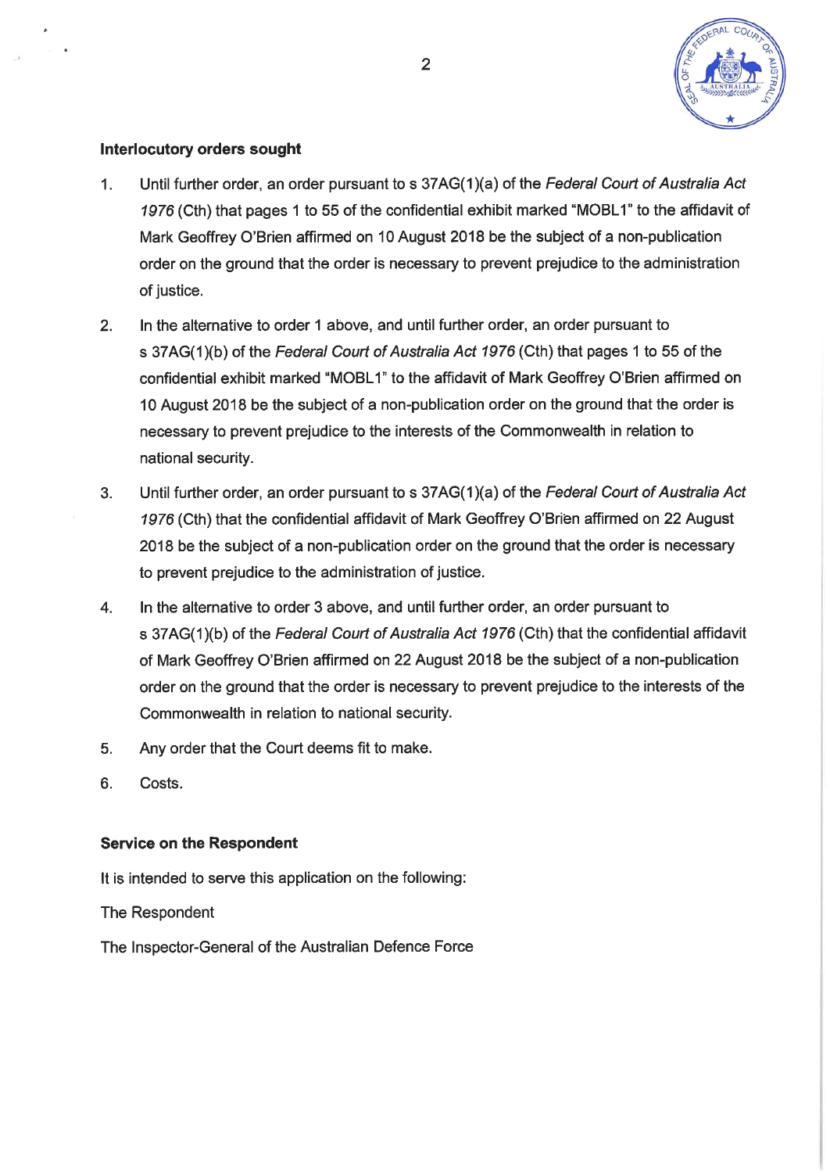

## **Interlocutory orders sought**

- Until further order, an order pursuant to s 37AG(1)(a) of the Federal Court of Australia Act  $\mathbf{1}$ . 1976 (Cth) that pages 1 to 55 of the confidential exhibit marked "MOBL1" to the affidavit of Mark Geoffrey O'Brien affirmed on 10 August 2018 be the subject of a non-publication order on the ground that the order is necessary to prevent prejudice to the administration of justice.
- $2.$ In the alternative to order 1 above, and until further order, an order pursuant to s 37AG(1)(b) of the Federal Court of Australia Act 1976 (Cth) that pages 1 to 55 of the confidential exhibit marked "MOBL1" to the affidavit of Mark Geoffrey O'Brien affirmed on 10 August 2018 be the subject of a non-publication order on the ground that the order is necessary to prevent prejudice to the interests of the Commonwealth in relation to national security.
- $3<sub>1</sub>$ Until further order, an order pursuant to s 37AG(1)(a) of the Federal Court of Australia Act 1976 (Cth) that the confidential affidavit of Mark Geoffrey O'Brien affirmed on 22 August 2018 be the subject of a non-publication order on the ground that the order is necessary to prevent prejudice to the administration of justice.
- In the alternative to order 3 above, and until further order, an order pursuant to 4. s 37AG(1)(b) of the Federal Court of Australia Act 1976 (Cth) that the confidential affidavit of Mark Geoffrey O'Brien affirmed on 22 August 2018 be the subject of a non-publication order on the ground that the order is necessary to prevent prejudice to the interests of the Commonwealth in relation to national security.
- 5. Any order that the Court deems fit to make.
- $6.$ Costs.

## **Service on the Respondent**

It is intended to serve this application on the following:

The Respondent

The Inspector-General of the Australian Defence Force